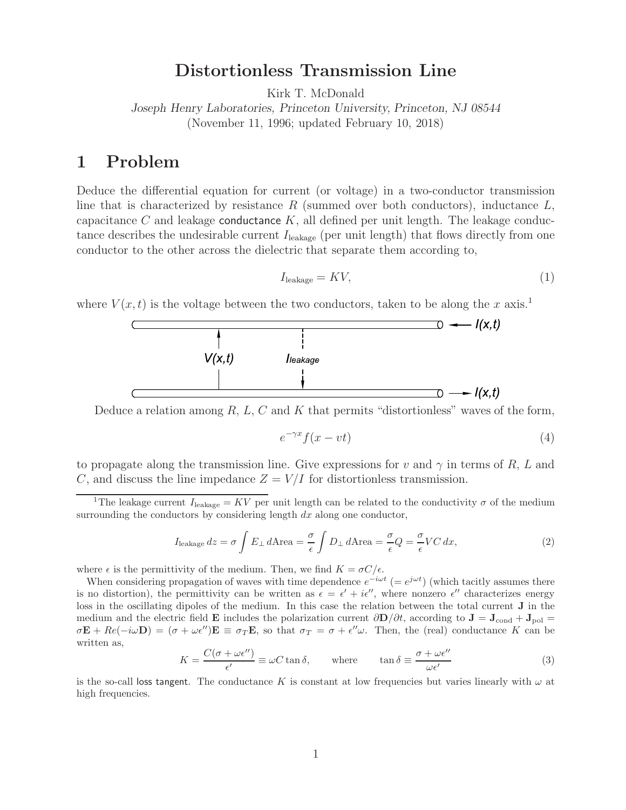### **Distortionless Transmission Line**

Kirk T. McDonald

*Joseph Henry Laboratories, Princeton University, Princeton, NJ 08544* (November 11, 1996; updated February 10, 2018)

#### **1 Problem**

Deduce the differential equation for current (or voltage) in a two-conductor transmission line that is characterized by resistance R (summed over both conductors), inductance  $L$ , capacitance C and leakage conductance  $K$ , all defined per unit length. The leakage conductance describes the undesirable current  $I_{\text{leakage}}$  (per unit length) that flows directly from one conductor to the other across the dielectric that separate them according to,

$$
I_{\text{leakage}} = KV,\tag{1}
$$

where  $V(x, t)$  is the voltage between the two conductors, taken to be along the x axis.<sup>1</sup>



Deduce a relation among  $R, L, C$  and  $K$  that permits "distortionless" waves of the form,

$$
e^{-\gamma x} f(x - vt) \tag{4}
$$

to propagate along the transmission line. Give expressions for v and  $\gamma$  in terms of R, L and C, and discuss the line impedance  $Z = V/I$  for distortionless transmission.

$$
I_{\text{leakage}}\,dz = \sigma \int E_{\perp}\,d\text{Area} = \frac{\sigma}{\epsilon} \int D_{\perp}\,d\text{Area} = \frac{\sigma}{\epsilon} Q = \frac{\sigma}{\epsilon} VC\,dx,\tag{2}
$$

where  $\epsilon$  is the permittivity of the medium. Then, we find  $K = \sigma C/\epsilon$ .

When considering propagation of waves with time dependence  $e^{-i\omega t}$  (=  $e^{j\omega t}$ ) (which tacitly assumes there is no distortion), the permittivity can be written as  $\epsilon = \epsilon' + i\epsilon''$ , where nonzero  $\epsilon''$  characterizes energy loss in the oscillating dipoles of the medium. In this case the relation between the total current **J** in the medium and the electric field **E** includes the polarization current  $\partial \mathbf{D}/\partial t$ , according to  $\mathbf{J} = \mathbf{J}_{cond} + \mathbf{J}_{pol} =$  $\sigma \mathbf{E} + Re(-i\omega \mathbf{D}) = (\sigma + \omega \epsilon'')\mathbf{E} \equiv \sigma_T \mathbf{E}$ , so that  $\sigma_T = \sigma + \epsilon''\omega$ . Then, the (real) conductance K can be written as,

$$
K = \frac{C(\sigma + \omega \epsilon^{\prime\prime})}{\epsilon^{\prime}} \equiv \omega C \tan \delta, \quad \text{where} \quad \tan \delta \equiv \frac{\sigma + \omega \epsilon^{\prime\prime}}{\omega \epsilon^{\prime}} \tag{3}
$$

is the so-call loss tangent. The conductance K is constant at low frequencies but varies linearly with  $\omega$  at high frequencies.

<sup>&</sup>lt;sup>1</sup>The leakage current  $I_{\text{leakage}} = KV$  per unit length can be related to the conductivity  $\sigma$  of the medium surrounding the conductors by considering length  $dx$  along one conductor,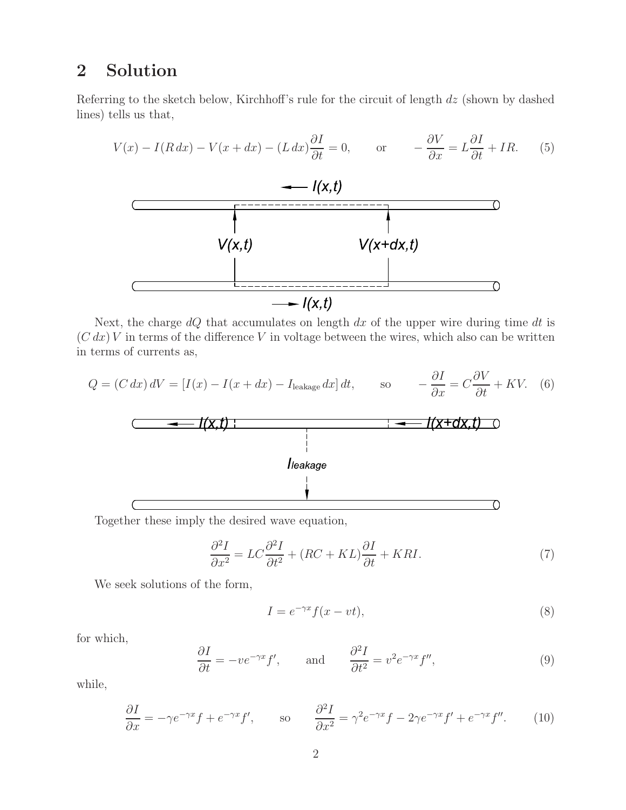# **2 Solution**

Referring to the sketch below, Kirchhoff's rule for the circuit of length dz (shown by dashed lines) tells us that,

$$
V(x) - I(R dx) - V(x + dx) - (L dx) \frac{\partial I}{\partial t} = 0, \quad \text{or} \quad -\frac{\partial V}{\partial x} = L \frac{\partial I}{\partial t} + IR. \quad (5)
$$
  
\n
$$
V(x, t)
$$

Next, the charge  $dQ$  that accumulates on length  $dx$  of the upper wire during time  $dt$  is  $(C dx) V$  in terms of the difference V in voltage between the wires, which also can be written in terms of currents as,

$$
Q = (C dx) dV = [I(x) - I(x + dx) - I_{\text{leakage}} dx] dt, \qquad \text{so} \qquad -\frac{\partial I}{\partial x} = C \frac{\partial V}{\partial t} + KV. \tag{6}
$$
\n
$$
\begin{array}{c|c|c}\n & \downarrow & \downarrow & \downarrow & \downarrow & \downarrow & \downarrow & \downarrow \\
\hline\n\end{array}
$$
\n
$$
I(\mathbf{x} + \mathbf{d}\mathbf{x}, \mathbf{t}) \qquad \qquad \downarrow
$$
\n
$$
I(\mathbf{x} + \mathbf{d}\mathbf{x}, \mathbf{t}) \qquad \qquad \downarrow
$$

Together these imply the desired wave equation,

$$
\frac{\partial^2 I}{\partial x^2} = LC \frac{\partial^2 I}{\partial t^2} + (RC + KL) \frac{\partial I}{\partial t} + KRI.
$$
\n(7)

We seek solutions of the form,

$$
I = e^{-\gamma x} f(x - vt),\tag{8}
$$

for which,

$$
\frac{\partial I}{\partial t} = -ve^{-\gamma x} f', \quad \text{and} \quad \frac{\partial^2 I}{\partial t^2} = v^2 e^{-\gamma x} f'', \tag{9}
$$

while,

$$
\frac{\partial I}{\partial x} = -\gamma e^{-\gamma x} f + e^{-\gamma x} f', \qquad \text{so} \qquad \frac{\partial^2 I}{\partial x^2} = \gamma^2 e^{-\gamma x} f - 2\gamma e^{-\gamma x} f' + e^{-\gamma x} f''.
$$
 (10)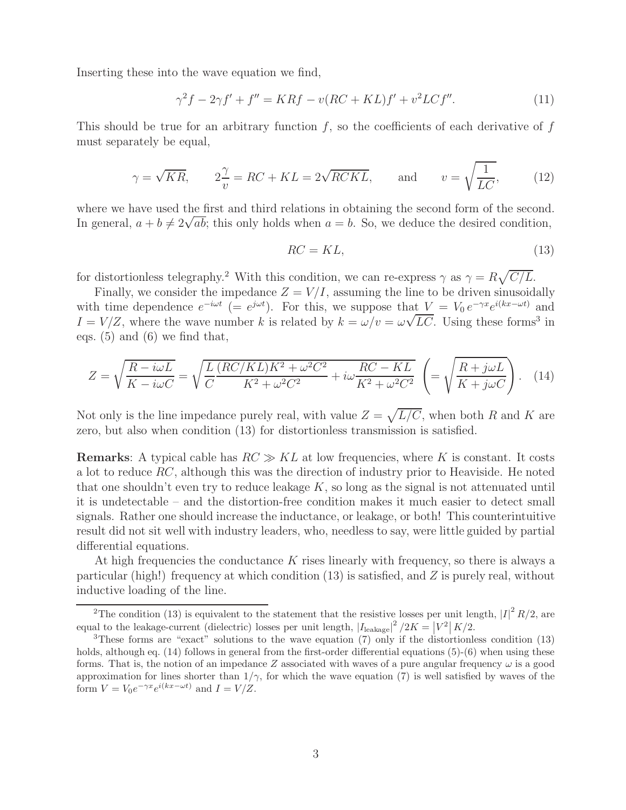Inserting these into the wave equation we find,

$$
\gamma^{2} f - 2\gamma f' + f'' = KRf - v(RC + KL)f' + v^{2} L C f''.
$$
\n(11)

This should be true for an arbitrary function  $f$ , so the coefficients of each derivative of  $f$ must separately be equal,

$$
\gamma = \sqrt{KR}
$$
,  $2\frac{\gamma}{v} = RC + KL = 2\sqrt{RCKL}$ , and  $v = \sqrt{\frac{1}{LC}}$ , (12)

where we have used the first and third relations in obtaining the second form of the second. In general,  $a + b \neq 2\sqrt{ab}$ ; this only holds when  $a = b$ . So, we deduce the desired condition,

$$
RC = KL,\tag{13}
$$

for distortionless telegraphy.<sup>2</sup> With this condition, we can re-express  $\gamma$  as  $\gamma = R\sqrt{C/L}$ .

Finally, we consider the impedance  $Z = V/I$ , assuming the line to be driven sinusoidally with time dependence  $e^{-i\omega t}$  (=  $e^{j\omega t}$ ). For this, we suppose that  $V = V_0 e^{-\gamma x} e^{i(kx-\omega t)}$  and  $I = V/Z$ , where the wave number k is related by  $k = \omega/v = \omega\sqrt{LC}$ . Using these forms<sup>3</sup> in eqs. (5) and (6) we find that,

$$
Z = \sqrt{\frac{R - i\omega L}{K - i\omega C}} = \sqrt{\frac{L}{C} \frac{(RC/KL)K^2 + \omega^2 C^2}{K^2 + \omega^2 C^2} + i\omega \frac{RC - KL}{K^2 + \omega^2 C^2}} \left( = \sqrt{\frac{R + j\omega L}{K + j\omega C}} \right). \tag{14}
$$

Not only is the line impedance purely real, with value  $Z = \sqrt{L/C}$ , when both R and K are zero, but also when condition (13) for distortionless transmission is satisfied.

**Remarks**: A typical cable has  $RC \gg KL$  at low frequencies, where K is constant. It costs a lot to reduce  $RC$ , although this was the direction of industry prior to Heaviside. He noted that one shouldn't even try to reduce leakage  $K$ , so long as the signal is not attenuated until it is undetectable – and the distortion-free condition makes it much easier to detect small signals. Rather one should increase the inductance, or leakage, or both! This counterintuitive result did not sit well with industry leaders, who, needless to say, were little guided by partial differential equations.

At high frequencies the conductance  $K$  rises linearly with frequency, so there is always a particular (high!) frequency at which condition  $(13)$  is satisfied, and Z is purely real, without inductive loading of the line.

<sup>&</sup>lt;sup>2</sup>The condition (13) is equivalent to the statement that the resistive losses per unit length,  $|I|^2 R/2$ , are equal to the leakage-current (dielectric) losses per unit length,  $|I_{\text{leakage}}|^2/2K = |V^2| K/2$ .

<sup>3</sup>These forms are "exact" solutions to the wave equation (7) only if the distortionless condition (13) holds, although eq. (14) follows in general from the first-order differential equations (5)-(6) when using these forms. That is, the notion of an impedance Z associated with waves of a pure angular frequency  $\omega$  is a good approximation for lines shorter than  $1/\gamma$ , for which the wave equation (7) is well satisfied by waves of the form  $V = V_0 e^{-\gamma x} e^{i(kx - \omega t)}$  and  $I = V/Z$ .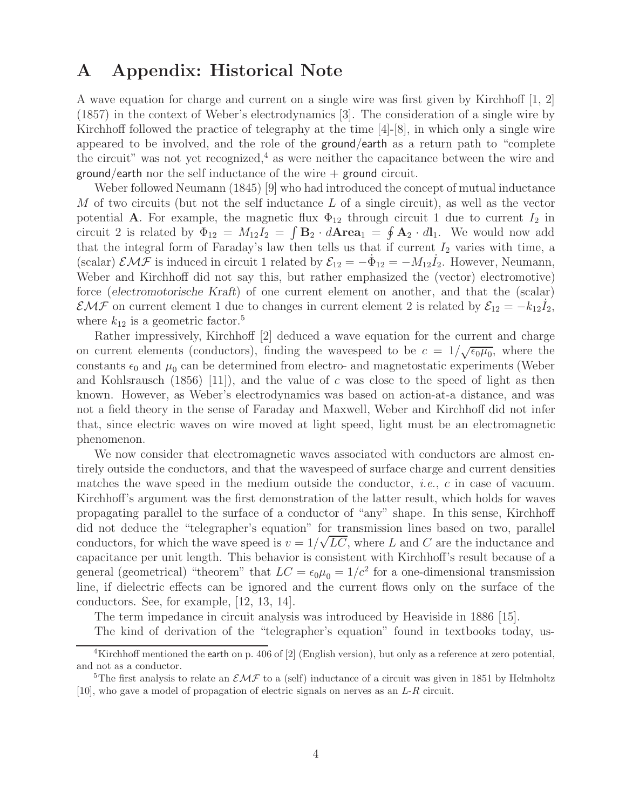### **A Appendix: Historical Note**

A wave equation for charge and current on a single wire was first given by Kirchhoff [1, 2] (1857) in the context of Weber's electrodynamics [3]. The consideration of a single wire by Kirchhoff followed the practice of telegraphy at the time [4]-[8], in which only a single wire appeared to be involved, and the role of the ground/earth as a return path to "complete the circuit" was not yet recognized,<sup>4</sup> as were neither the capacitance between the wire and ground/earth nor the self inductance of the wire  $+$  ground circuit.

Weber followed Neumann (1845) [9] who had introduced the concept of mutual inductance M of two circuits (but not the self inductance  $L$  of a single circuit), as well as the vector potential **A**. For example, the magnetic flux  $\Phi_{12}$  through circuit 1 due to current  $I_2$  in circuit 2 is related by  $\Phi_{12} = M_{12}I_2 = \int \mathbf{B}_2 \cdot d\mathbf{A} \mathbf{r} \mathbf{e} \mathbf{a}_1 = \oint \mathbf{A}_2 \cdot dI_1$ . We would now add that the integral form of Faraday's law then tells us that if current  $I_2$  varies with time, a (scalar)  $\mathcal{EMF}$  is induced in circuit 1 related by  $\mathcal{E}_{12} = -\Phi_{12} = -M_{12}I_2$ . However, Neumann, Weber and Kirchhoff did not say this, but rather emphasized the (vector) electromotive) force (*electromotorische Kraft*) of one current element on another, and that the (scalar)  $\mathcal{EMF}$  on current element 1 due to changes in current element 2 is related by  $\mathcal{E}_{12} = -k_{12} \dot{I}_2$ , where  $k_{12}$  is a geometric factor.<sup>5</sup>

Rather impressively, Kirchhoff [2] deduced a wave equation for the current and charge on current elements (conductors), finding the wavespeed to be  $c = 1/\sqrt{\epsilon_0 \mu_0}$ , where the constants  $\epsilon_0$  and  $\mu_0$  can be determined from electro- and magnetostatic experiments (Weber and Kohlsrausch  $(1856)$  [11]), and the value of c was close to the speed of light as then known. However, as Weber's electrodynamics was based on action-at-a distance, and was not a field theory in the sense of Faraday and Maxwell, Weber and Kirchhoff did not infer that, since electric waves on wire moved at light speed, light must be an electromagnetic phenomenon.

We now consider that electromagnetic waves associated with conductors are almost entirely outside the conductors, and that the wavespeed of surface charge and current densities matches the wave speed in the medium outside the conductor, *i.e.*, c in case of vacuum. Kirchhoff's argument was the first demonstration of the latter result, which holds for waves propagating parallel to the surface of a conductor of "any" shape. In this sense, Kirchhoff did not deduce the "telegrapher's equation" for transmission lines based on two, parallel conductors, for which the wave speed is  $v = 1/\sqrt{LC}$ , where L and C are the inductance and capacitance per unit length. This behavior is consistent with Kirchhoff's result because of a general (geometrical) "theorem" that  $LC = \epsilon_0 \mu_0 = 1/c^2$  for a one-dimensional transmission line, if dielectric effects can be ignored and the current flows only on the surface of the conductors. See, for example, [12, 13, 14].

The term impedance in circuit analysis was introduced by Heaviside in 1886 [15].

The kind of derivation of the "telegrapher's equation" found in textbooks today, us-

<sup>&</sup>lt;sup>4</sup>Kirchhoff mentioned the earth on p. 406 of [2] (English version), but only as a reference at zero potential, and not as a conductor.

<sup>&</sup>lt;sup>5</sup>The first analysis to relate an  $\mathcal{EMF}$  to a (self) inductance of a circuit was given in 1851 by Helmholtz [10], who gave a model of propagation of electric signals on nerves as an L-R circuit.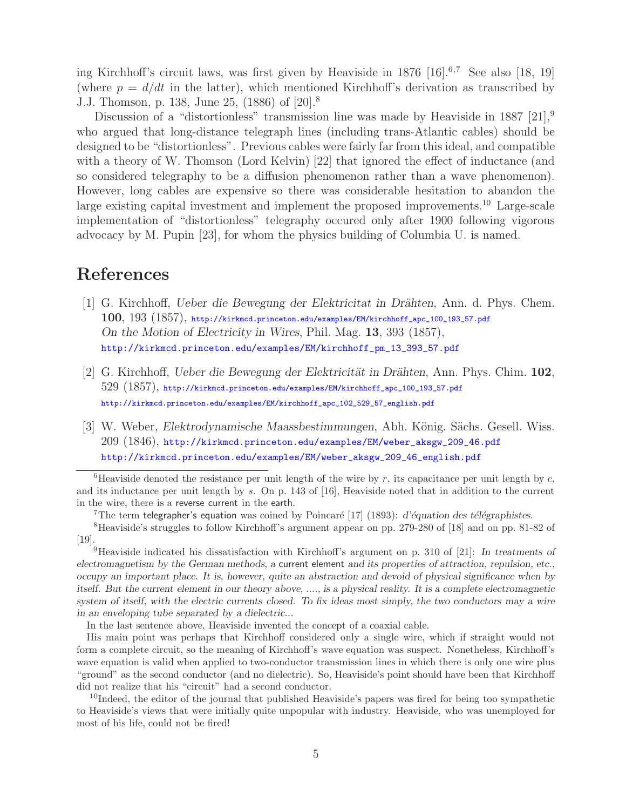ing Kirchhoff's circuit laws, was first given by Heaviside in  $1876$  [16].<sup>6,7</sup> See also [18, 19] (where  $p = d/dt$  in the latter), which mentioned Kirchhoff's derivation as transcribed by J.J. Thomson, p. 138, June 25, (1886) of [20].8

Discussion of a "distortionless" transmission line was made by Heaviside in 1887 [21],  $9$ who argued that long-distance telegraph lines (including trans-Atlantic cables) should be designed to be "distortionless". Previous cables were fairly far from this ideal, and compatible with a theory of W. Thomson (Lord Kelvin) [22] that ignored the effect of inductance (and so considered telegraphy to be a diffusion phenomenon rather than a wave phenomenon). However, long cables are expensive so there was considerable hesitation to abandon the large existing capital investment and implement the proposed improvements.<sup>10</sup> Large-scale implementation of "distortionless" telegraphy occured only after 1900 following vigorous advocacy by M. Pupin [23], for whom the physics building of Columbia U. is named.

## **References**

- [1] G. Kirchhoff, *Ueber die Bewegung der Elektricitat in Drähten*, Ann. d. Phys. Chem. **100**, 193 (1857), http://kirkmcd.princeton.edu/examples/EM/kirchhoff\_apc\_100\_193\_57.pdf *On the Motion of Electricity in Wires*, Phil. Mag. **13**, 393 (1857), http://kirkmcd.princeton.edu/examples/EM/kirchhoff\_pm\_13\_393\_57.pdf
- [2] G. Kirchhoff, *Ueber die Bewegung der Elektricität in Drähten*, Ann. Phys. Chim. **102**, 529 (1857), http://kirkmcd.princeton.edu/examples/EM/kirchhoff\_apc\_100\_193\_57.pdf http://kirkmcd.princeton.edu/examples/EM/kirchhoff\_apc\_102\_529\_57\_english.pdf
- [3] W. Weber, *Elektrodynamische Maassbestimmungen*, Abh. König. Sächs. Gesell. Wiss. 209 (1846), http://kirkmcd.princeton.edu/examples/EM/weber\_aksgw\_209\_46.pdf http://kirkmcd.princeton.edu/examples/EM/weber\_aksgw\_209\_46\_english.pdf

<sup>9</sup>Heaviside indicated his dissatisfaction with Kirchhoff's argument on p. 310 of [21]: *In treatments of electromagnetism by the German methods, a* current element *and its properties of attraction, repulsion, etc., occupy an important place. It is, however, quite an abstraction and devoid of physical significance when by itself. But the current element in our theory above, ...., is a physical reality. It is a complete electromagnetic system of itself, with the electric currents closed. To fix ideas most simply, the two conductors may a wire in an enveloping tube separated by a dielectric...*

In the last sentence above, Heaviside invented the concept of a coaxial cable.

His main point was perhaps that Kirchhoff considered only a single wire, which if straight would not form a complete circuit, so the meaning of Kirchhoff's wave equation was suspect. Nonetheless, Kirchhoff's wave equation is valid when applied to two-conductor transmission lines in which there is only one wire plus "ground" as the second conductor (and no dielectric). So, Heaviside's point should have been that Kirchhoff did not realize that his "circuit" had a second conductor.

 $10$ Indeed, the editor of the journal that published Heaviside's papers was fired for being too sympathetic to Heaviside's views that were initially quite unpopular with industry. Heaviside, who was unemployed for most of his life, could not be fired!

<sup>&</sup>lt;sup>6</sup>Heaviside denoted the resistance per unit length of the wire by r, its capacitance per unit length by c, and its inductance per unit length by s. On p. 143 of [16], Heaviside noted that in addition to the current in the wire, there is a reverse current in the earth.<br><sup>7</sup>The term telegrapher's equation was coined by Poincaré [17] (1893): d'équation des télégraphistes.<br><sup>8</sup>Heaviside's struggles to follow Kirchhoff's argument appear on

<sup>[19].</sup>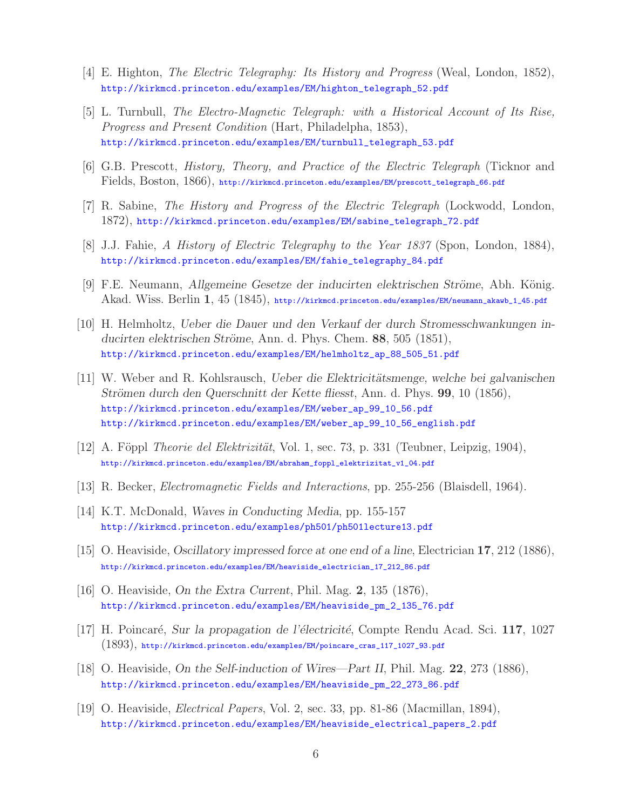- [4] E. Highton, *The Electric Telegraphy: Its History and Progress* (Weal, London, 1852), http://kirkmcd.princeton.edu/examples/EM/highton\_telegraph\_52.pdf
- [5] L. Turnbull, *The Electro-Magnetic Telegraph: with a Historical Account of Its Rise, Progress and Present Condition* (Hart, Philadelpha, 1853), http://kirkmcd.princeton.edu/examples/EM/turnbull\_telegraph\_53.pdf
- [6] G.B. Prescott, *History, Theory, and Practice of the Electric Telegraph* (Ticknor and Fields, Boston, 1866), http://kirkmcd.princeton.edu/examples/EM/prescott\_telegraph\_66.pdf
- [7] R. Sabine, *The History and Progress of the Electric Telegraph* (Lockwodd, London, 1872), http://kirkmcd.princeton.edu/examples/EM/sabine\_telegraph\_72.pdf
- [8] J.J. Fahie, *A History of Electric Telegraphy to the Year 1837* (Spon, London, 1884), http://kirkmcd.princeton.edu/examples/EM/fahie\_telegraphy\_84.pdf
- [9] F.E. Neumann, *Allgemeine Gesetze der inducirten elektrischen Ströme*, Abh. König. Akad. Wiss. Berlin **1**, 45 (1845), http://kirkmcd.princeton.edu/examples/EM/neumann\_akawb\_1\_45.pdf
- [10] H. Helmholtz, *Ueber die Dauer und den Verkauf der durch Stromesschwankungen inducirten elektrischen Str¨ome*, Ann. d. Phys. Chem. **88**, 505 (1851), http://kirkmcd.princeton.edu/examples/EM/helmholtz\_ap\_88\_505\_51.pdf
- [11] W. Weber and R. Kohlsrausch, *Ueber die Elektricitätsmenge, welche bei galvanischen Strömen durch den Querschnitt der Kette fliesst*, Ann. d. Phys. **99**, 10 (1856), http://kirkmcd.princeton.edu/examples/EM/weber\_ap\_99\_10\_56.pdf http://kirkmcd.princeton.edu/examples/EM/weber\_ap\_99\_10\_56\_english.pdf
- [12] A. F¨oppl *Theorie del Elektrizit¨at*, Vol. 1, sec. 73, p. 331 (Teubner, Leipzig, 1904), http://kirkmcd.princeton.edu/examples/EM/abraham\_foppl\_elektrizitat\_v1\_04.pdf
- [13] R. Becker, *Electromagnetic Fields and Interactions*, pp. 255-256 (Blaisdell, 1964).
- [14] K.T. McDonald, *Waves in Conducting Media*, pp. 155-157 http://kirkmcd.princeton.edu/examples/ph501/ph501lecture13.pdf
- [15] O. Heaviside, *Oscillatory impressed force at one end of a line*, Electrician **17**, 212 (1886), http://kirkmcd.princeton.edu/examples/EM/heaviside\_electrician\_17\_212\_86.pdf
- [16] O. Heaviside, *On the Extra Current*, Phil. Mag. **2**, 135 (1876), http://kirkmcd.princeton.edu/examples/EM/heaviside\_pm\_2\_135\_76.pdf
- [17] H. Poincar´e, *Sur la propagation de l'´electricit´e*, Compte Rendu Acad. Sci. **117**, 1027 (1893), http://kirkmcd.princeton.edu/examples/EM/poincare\_cras\_117\_1027\_93.pdf
- [18] O. Heaviside, *On the Self-induction of Wires—Part II*, Phil. Mag. **22**, 273 (1886), http://kirkmcd.princeton.edu/examples/EM/heaviside\_pm\_22\_273\_86.pdf
- [19] O. Heaviside, *Electrical Papers*, Vol. 2, sec. 33, pp. 81-86 (Macmillan, 1894), http://kirkmcd.princeton.edu/examples/EM/heaviside\_electrical\_papers\_2.pdf